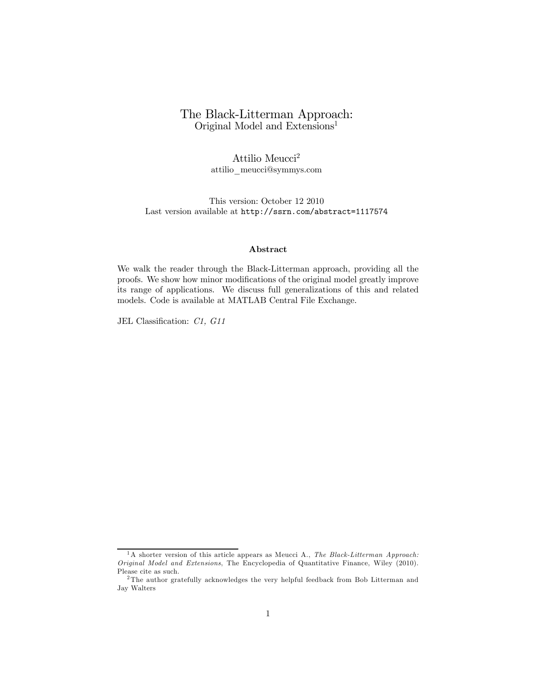### The Black-Litterman Approach: Original Model and Extensions<sup>1</sup>

Attilio Meucci<sup>2</sup> attilio\_meucci@symmys.com

This version: October 12 2010 Last version available at http://ssrn.com/abstract=1117574

#### Abstract

We walk the reader through the Black-Litterman approach, providing all the proofs. We show how minor modifications of the original model greatly improve its range of applications. We discuss full generalizations of this and related models. Code is available at MATLAB Central File Exchange.

JEL Classification: C1, G11

<sup>&</sup>lt;sup>1</sup>A shorter version of this article appears as Meucci A., *The Black-Litterman Approach:* Original Model and Extensions, The Encyclopedia of Quantitative Finance, Wiley (2010). Please cite as such.

<sup>&</sup>lt;sup>2</sup>The author gratefully acknowledges the very helpful feedback from Bob Litterman and Jay Walters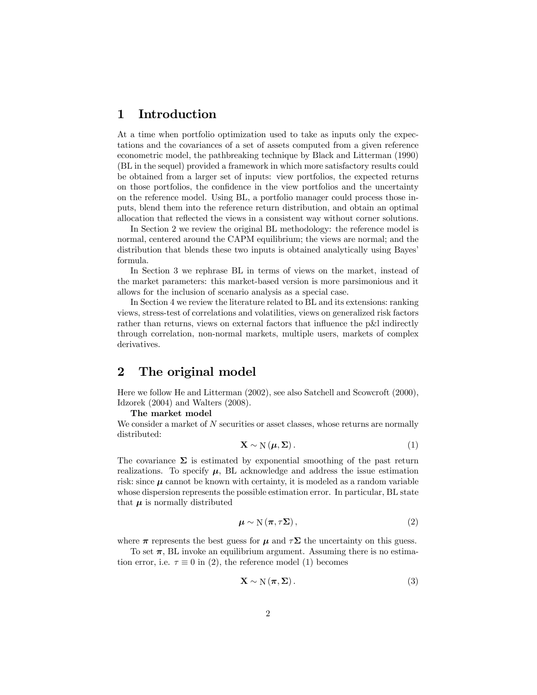## 1 Introduction

At a time when portfolio optimization used to take as inputs only the expectations and the covariances of a set of assets computed from a given reference econometric model, the pathbreaking technique by Black and Litterman (1990) (BL in the sequel) provided a framework in which more satisfactory results could be obtained from a larger set of inputs: view portfolios, the expected returns on those portfolios, the confidence in the view portfolios and the uncertainty on the reference model. Using BL, a portfolio manager could process those inputs, blend them into the reference return distribution, and obtain an optimal allocation that reflected the views in a consistent way without corner solutions.

In Section 2 we review the original BL methodology: the reference model is normal, centered around the CAPM equilibrium; the views are normal; and the distribution that blends these two inputs is obtained analytically using Bayes' formula.

In Section 3 we rephrase BL in terms of views on the market, instead of the market parameters: this market-based version is more parsimonious and it allows for the inclusion of scenario analysis as a special case.

In Section 4 we review the literature related to BL and its extensions: ranking views, stress-test of correlations and volatilities, views on generalized risk factors rather than returns, views on external factors that influence the p&l indirectly through correlation, non-normal markets, multiple users, markets of complex derivatives.

### 2 The original model

Here we follow He and Litterman (2002), see also Satchell and Scowcroft (2000), Idzorek (2004) and Walters (2008).

#### The market model

We consider a market of N securities or asset classes, whose returns are normally distributed:

$$
\mathbf{X} \sim \mathcal{N}\left(\boldsymbol{\mu}, \boldsymbol{\Sigma}\right). \tag{1}
$$

The covariance  $\Sigma$  is estimated by exponential smoothing of the past return realizations. To specify  $\mu$ , BL acknowledge and address the issue estimation risk: since  $\mu$  cannot be known with certainty, it is modeled as a random variable whose dispersion represents the possible estimation error. In particular, BL state that  $\mu$  is normally distributed

$$
\mu \sim \mathcal{N}(\pi, \tau \Sigma), \tag{2}
$$

where  $\pi$  represents the best guess for  $\mu$  and  $\tau\Sigma$  the uncertainty on this guess.

To set  $\pi$ , BL invoke an equilibrium argument. Assuming there is no estimation error, i.e.  $\tau \equiv 0$  in (2), the reference model (1) becomes

$$
\mathbf{X} \sim \mathcal{N}(\boldsymbol{\pi}, \boldsymbol{\Sigma}). \tag{3}
$$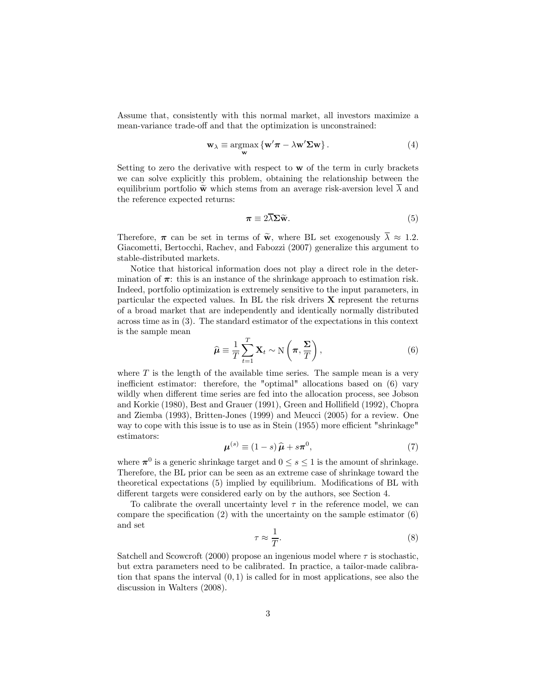Assume that, consistently with this normal market, all investors maximize a mean-variance trade-off and that the optimization is unconstrained:

$$
\mathbf{w}_{\lambda} \equiv \underset{\mathbf{w}}{\operatorname{argmax}} \left\{ \mathbf{w}' \boldsymbol{\pi} - \lambda \mathbf{w}' \boldsymbol{\Sigma} \mathbf{w} \right\}.
$$
 (4)

Setting to zero the derivative with respect to w of the term in curly brackets we can solve explicitly this problem, obtaining the relationship between the equilibrium portfolio  $\widetilde{\mathbf{w}}$  which stems from an average risk-aversion level  $\overline{\lambda}$  and the reference expected returns:

$$
\boldsymbol{\pi} \equiv 2\overline{\lambda}\boldsymbol{\Sigma}\widetilde{\mathbf{w}}.\tag{5}
$$

Therefore,  $\pi$  can be set in terms of  $\tilde{\mathbf{w}}$ , where BL set exogenously  $\overline{\lambda} \approx 1.2$ . Giacometti, Bertocchi, Rachev, and Fabozzi (2007) generalize this argument to stable-distributed markets.

Notice that historical information does not play a direct role in the determination of  $\pi$ : this is an instance of the shrinkage approach to estimation risk. Indeed, portfolio optimization is extremely sensitive to the input parameters, in particular the expected values. In BL the risk drivers  $X$  represent the returns of a broad market that are independently and identically normally distributed across time as in (3). The standard estimator of the expectations in this context is the sample mean

$$
\widehat{\boldsymbol{\mu}} \equiv \frac{1}{T} \sum_{t=1}^{T} \mathbf{X}_t \sim \mathcal{N}\left(\boldsymbol{\pi}, \frac{\boldsymbol{\Sigma}}{T}\right),\tag{6}
$$

where  $T$  is the length of the available time series. The sample mean is a very inefficient estimator: therefore, the "optimal" allocations based on (6) vary wildly when different time series are fed into the allocation process, see Jobson and Korkie (1980), Best and Grauer (1991), Green and Hollifield (1992), Chopra and Ziemba (1993), Britten-Jones (1999) and Meucci (2005) for a review. One way to cope with this issue is to use as in Stein (1955) more efficient "shrinkage" estimators:

$$
\boldsymbol{\mu}^{(s)} \equiv (1-s)\,\hat{\boldsymbol{\mu}} + s\boldsymbol{\pi}^0,\tag{7}
$$

where  $\pi^0$  is a generic shrinkage target and  $0 \leq s \leq 1$  is the amount of shrinkage. Therefore, the BL prior can be seen as an extreme case of shrinkage toward the theoretical expectations (5) implied by equilibrium. Modifications of BL with different targets were considered early on by the authors, see Section 4.

To calibrate the overall uncertainty level  $\tau$  in the reference model, we can compare the specification  $(2)$  with the uncertainty on the sample estimator  $(6)$ and set

$$
\tau \approx \frac{1}{T}.\tag{8}
$$

Satchell and Scowcroft (2000) propose an ingenious model where  $\tau$  is stochastic, but extra parameters need to be calibrated. In practice, a tailor-made calibration that spans the interval  $(0, 1)$  is called for in most applications, see also the discussion in Walters (2008).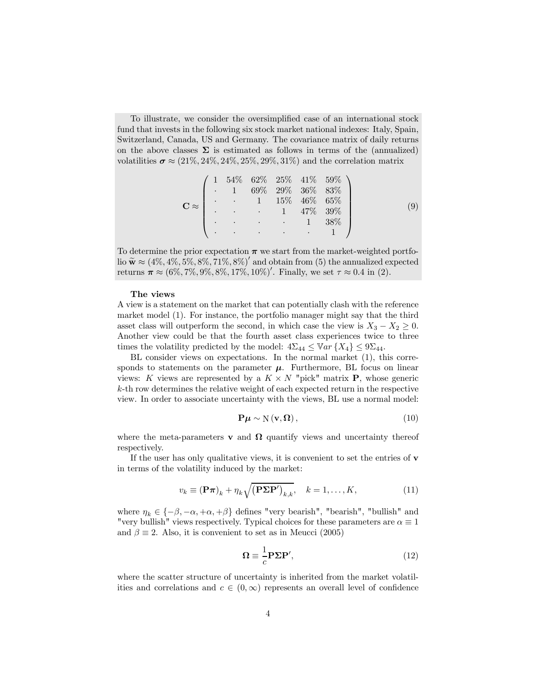To illustrate, we consider the oversimplified case of an international stock fund that invests in the following six stock market national indexes: Italy, Spain, Switzerland, Canada, US and Germany. The covariance matrix of daily returns on the above classes  $\Sigma$  is estimated as follows in terms of the (annualized) volatilities  $\sigma \approx (21\%, 24\%, 24\%, 25\%, 29\%, 31\%)$  and the correlation matrix

$$
\mathbf{C} \approx \begin{pmatrix} 1 & 54\% & 62\% & 25\% & 41\% & 59\% \\ & 1 & 69\% & 29\% & 36\% & 83\% \\ & & 1 & 15\% & 46\% & 65\% \\ & & & 1 & 47\% & 39\% \\ & & & & 1 & 38\% \\ & & & & & 1 \end{pmatrix} \tag{9}
$$

To determine the prior expectation  $\pi$  we start from the market-weighted portfolio  $\widetilde{\mathbf{w}} \approx (4\%, 4\%, 5\%, 8\%, 71\%, 8\%)'$  and obtain from (5) the annualized expected returns  $\pi \approx (6\%, 7\%, 9\%, 8\%, 17\%, 10\%)'$ . Finally, we set  $\tau \approx 0.4$  in (2).

#### The views

A view is a statement on the market that can potentially clash with the reference market model (1). For instance, the portfolio manager might say that the third asset class will outperform the second, in which case the view is  $X_3 - X_2 \geq 0$ . Another view could be that the fourth asset class experiences twice to three times the volatility predicted by the model:  $4\Sigma_{44} \leq \mathbb{V}ar \{X_4\} \leq 9\Sigma_{44}$ .

BL consider views on expectations. In the normal market (1), this corresponds to statements on the parameter  $\mu$ . Furthermore, BL focus on linear views: K views are represented by a  $K \times N$  "pick" matrix **P**, whose generic k-th row determines the relative weight of each expected return in the respective view. In order to associate uncertainty with the views, BL use a normal model:

$$
\mathbf{P}\boldsymbol{\mu} \sim \mathcal{N}\left(\mathbf{v}, \boldsymbol{\Omega}\right),\tag{10}
$$

where the meta-parameters **v** and  $\Omega$  quantify views and uncertainty thereof respectively.

If the user has only qualitative views, it is convenient to set the entries of  $\bf{v}$ in terms of the volatility induced by the market:

$$
v_k \equiv (\mathbf{P}\boldsymbol{\pi})_k + \eta_k \sqrt{(\mathbf{P}\boldsymbol{\Sigma}\mathbf{P}^\prime)_{k,k}}, \quad k = 1, \dots, K,
$$
\n(11)

where  $\eta_k \in \{-\beta, -\alpha, +\alpha, +\beta\}$  defines "very bearish", "bearish", "bullish" and "very bullish" views respectively. Typical choices for these parameters are  $\alpha \equiv 1$ and  $\beta \equiv 2$ . Also, it is convenient to set as in Meucci (2005)

$$
\Omega \equiv \frac{1}{c} \mathbf{P} \Sigma \mathbf{P}',\tag{12}
$$

where the scatter structure of uncertainty is inherited from the market volatilities and correlations and  $c \in (0,\infty)$  represents an overall level of confidence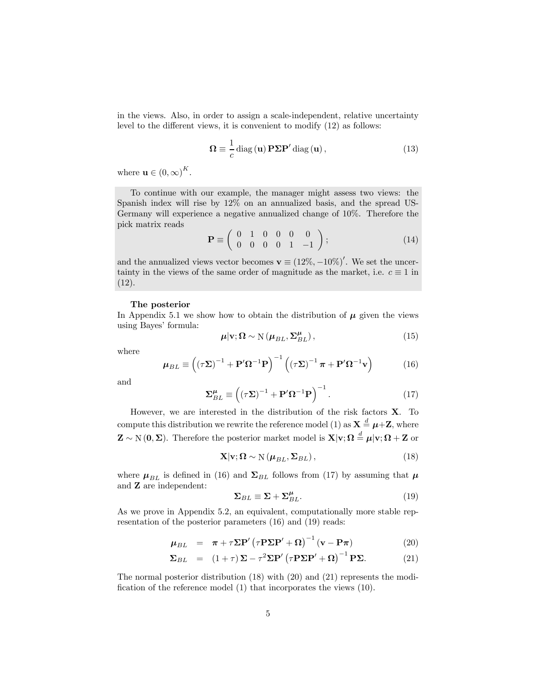in the views. Also, in order to assign a scale-independent, relative uncertainty level to the different views, it is convenient to modify (12) as follows:

$$
\Omega \equiv \frac{1}{c} \operatorname{diag}(\mathbf{u}) \mathbf{P} \Sigma \mathbf{P}' \operatorname{diag}(\mathbf{u}), \qquad (13)
$$

where  $\mathbf{u} \in (0, \infty)^K$ .

To continue with our example, the manager might assess two views: the Spanish index will rise by 12% on an annualized basis, and the spread US-Germany will experience a negative annualized change of 10%. Therefore the pick matrix reads

$$
\mathbf{P} \equiv \left( \begin{array}{cccc} 0 & 1 & 0 & 0 & 0 & 0 \\ 0 & 0 & 0 & 0 & 1 & -1 \end{array} \right); \tag{14}
$$

and the annualized views vector becomes  $\mathbf{v} \equiv (12\%, -10\%)'$ . We set the uncertainty in the views of the same order of magnitude as the market, i.e.  $c \equiv 1$  in (12).

#### The posterior

In Appendix 5.1 we show how to obtain the distribution of  $\mu$  given the views using Bayes' formula:

$$
\mu|\mathbf{v};\mathbf{\Omega}\sim\mathcal{N}\left(\mu_{BL},\Sigma_{BL}^{\mu}\right),\tag{15}
$$

where

$$
\mu_{BL} \equiv \left( (\tau \Sigma)^{-1} + \mathbf{P}' \Omega^{-1} \mathbf{P} \right)^{-1} \left( (\tau \Sigma)^{-1} \pi + \mathbf{P}' \Omega^{-1} \mathbf{v} \right) \tag{16}
$$

and

$$
\Sigma_{BL}^{\mu} \equiv \left( (\tau \Sigma)^{-1} + \mathbf{P}' \Omega^{-1} \mathbf{P} \right)^{-1} . \tag{17}
$$

However, we are interested in the distribution of the risk factors X. To compute this distribution we rewrite the reference model (1) as  $\mathbf{X} \stackrel{d}{=} \boldsymbol{\mu} + \mathbf{Z}$ , where  $\mathbf{Z} \sim N(0, \Sigma)$ . Therefore the posterior market model is  $\mathbf{X}|\mathbf{v}; \Omega \stackrel{d}{=} \boldsymbol{\mu}|\mathbf{v}; \Omega + \mathbf{Z}$  or

$$
\mathbf{X}|\mathbf{v};\mathbf{\Omega} \sim \mathcal{N}(\boldsymbol{\mu}_{BL}, \boldsymbol{\Sigma}_{BL}),
$$
\n(18)

where  $\mu_{BL}$  is defined in (16) and  $\Sigma_{BL}$  follows from (17) by assuming that  $\mu$ and Z are independent:

$$
\Sigma_{BL} \equiv \Sigma + \Sigma_{BL}^{\mu}.
$$
\n(19)

As we prove in Appendix 5.2, an equivalent, computationally more stable representation of the posterior parameters (16) and (19) reads:

$$
\mu_{BL} = \pi + \tau \Sigma \mathbf{P}' (\tau \mathbf{P} \Sigma \mathbf{P}' + \Omega)^{-1} (\mathbf{v} - \mathbf{P} \pi)
$$
 (20)

$$
\Sigma_{BL} = (1+\tau)\Sigma - \tau^2 \Sigma \mathbf{P}' (\tau \mathbf{P} \Sigma \mathbf{P}' + \Omega)^{-1} \mathbf{P} \Sigma.
$$
 (21)

The normal posterior distribution (18) with (20) and (21) represents the modification of the reference model (1) that incorporates the views (10).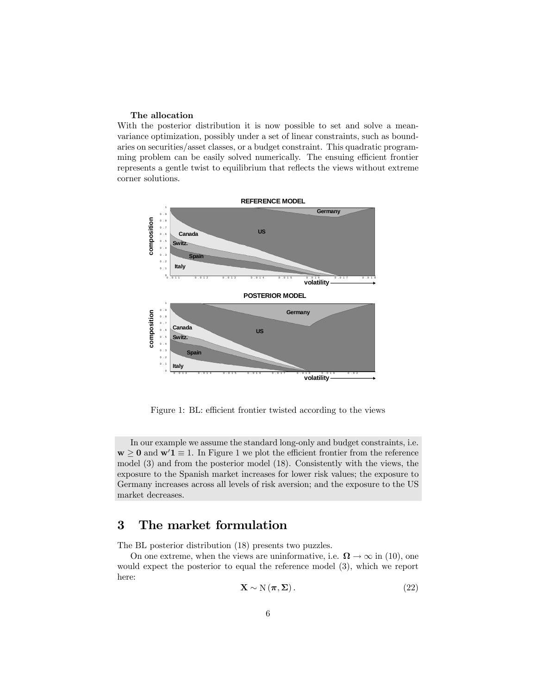#### The allocation

With the posterior distribution it is now possible to set and solve a meanvariance optimization, possibly under a set of linear constraints, such as boundaries on securities/asset classes, or a budget constraint. This quadratic programming problem can be easily solved numerically. The ensuing efficient frontier represents a gentle twist to equilibrium that reflects the views without extreme corner solutions.



Figure 1: BL: efficient frontier twisted according to the views

In our example we assume the standard long-only and budget constraints, i.e.  $\mathbf{w} \geq \mathbf{0}$  and  $\mathbf{w}'\mathbf{1} \equiv 1$ . In Figure 1 we plot the efficient frontier from the reference model (3) and from the posterior model (18). Consistently with the views, the exposure to the Spanish market increases for lower risk values; the exposure to Germany increases across all levels of risk aversion; and the exposure to the US market decreases.

## 3 The market formulation

The BL posterior distribution (18) presents two puzzles.

On one extreme, when the views are uninformative, i.e.  $\Omega \to \infty$  in (10), one would expect the posterior to equal the reference model (3), which we report here:

$$
\mathbf{X} \sim \mathcal{N}(\boldsymbol{\pi}, \boldsymbol{\Sigma}). \tag{22}
$$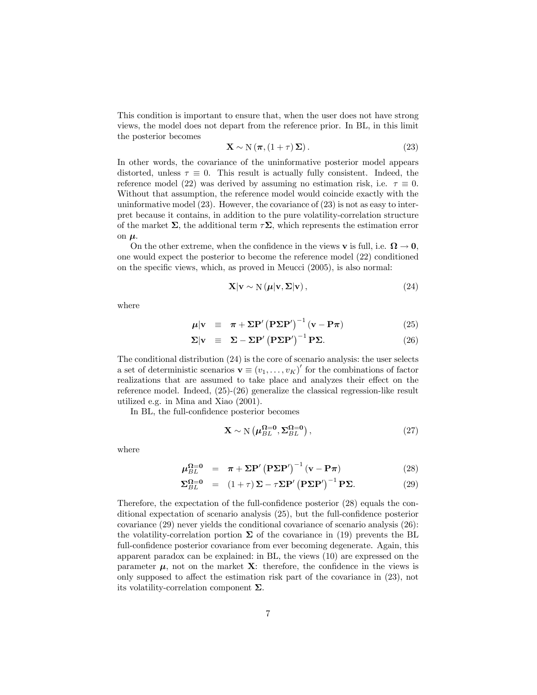This condition is important to ensure that, when the user does not have strong views, the model does not depart from the reference prior. In BL, in this limit the posterior becomes

$$
\mathbf{X} \sim \mathcal{N}(\boldsymbol{\pi}, (1+\tau)\,\boldsymbol{\Sigma}).\tag{23}
$$

In other words, the covariance of the uninformative posterior model appears distorted, unless  $\tau \equiv 0$ . This result is actually fully consistent. Indeed, the reference model (22) was derived by assuming no estimation risk, i.e.  $\tau \equiv 0$ . Without that assumption, the reference model would coincide exactly with the uninformative model  $(23)$ . However, the covariance of  $(23)$  is not as easy to interpret because it contains, in addition to the pure volatility-correlation structure of the market  $\Sigma$ , the additional term  $\tau\Sigma$ , which represents the estimation error on  $\mu$ .

On the other extreme, when the confidence in the views **v** is full, i.e.  $\Omega \to 0$ , one would expect the posterior to become the reference model (22) conditioned on the specific views, which, as proved in Meucci (2005), is also normal:

$$
\mathbf{X}|\mathbf{v} \sim \mathcal{N}\left(\boldsymbol{\mu}|\mathbf{v}, \boldsymbol{\Sigma}|\mathbf{v}\right),\tag{24}
$$

where

$$
\mu|\mathbf{v}| \equiv \pi + \Sigma \mathbf{P}' (\mathbf{P} \Sigma \mathbf{P}')^{-1} (\mathbf{v} - \mathbf{P} \pi)
$$
 (25)

$$
\Sigma |v \equiv \Sigma - \Sigma P' (P\Sigma P')^{-1} P \Sigma.
$$
 (26)

The conditional distribution (24) is the core of scenario analysis: the user selects a set of deterministic scenarios  $\mathbf{v} \equiv (v_1, \ldots, v_K)'$  for the combinations of factor realizations that are assumed to take place and analyzes their effect on the reference model. Indeed, (25)-(26) generalize the classical regression-like result utilized e.g. in Mina and Xiao (2001).

In BL, the full-confidence posterior becomes

$$
\mathbf{X} \sim \mathcal{N}\left(\boldsymbol{\mu}_{BL}^{\Omega=0}, \boldsymbol{\Sigma}_{BL}^{\Omega=0}\right),\tag{27}
$$

where

$$
\mu_{BL}^{\Omega=0} = \pi + \Sigma \mathbf{P}' (\mathbf{P} \Sigma \mathbf{P}')^{-1} (\mathbf{v} - \mathbf{P} \pi)
$$
 (28)

$$
\Sigma_{BL}^{\Omega=0} = (1+\tau)\Sigma - \tau\Sigma P' (\mathbf{P}\Sigma P')^{-1} \mathbf{P}\Sigma.
$$
 (29)

Therefore, the expectation of the full-confidence posterior (28) equals the conditional expectation of scenario analysis (25), but the full-confidence posterior covariance (29) never yields the conditional covariance of scenario analysis (26): the volatility-correlation portion  $\Sigma$  of the covariance in (19) prevents the BL full-confidence posterior covariance from ever becoming degenerate. Again, this apparent paradox can be explained: in BL, the views (10) are expressed on the parameter  $\mu$ , not on the market **X**: therefore, the confidence in the views is only supposed to affect the estimation risk part of the covariance in (23), not its volatility-correlation component  $\Sigma$ .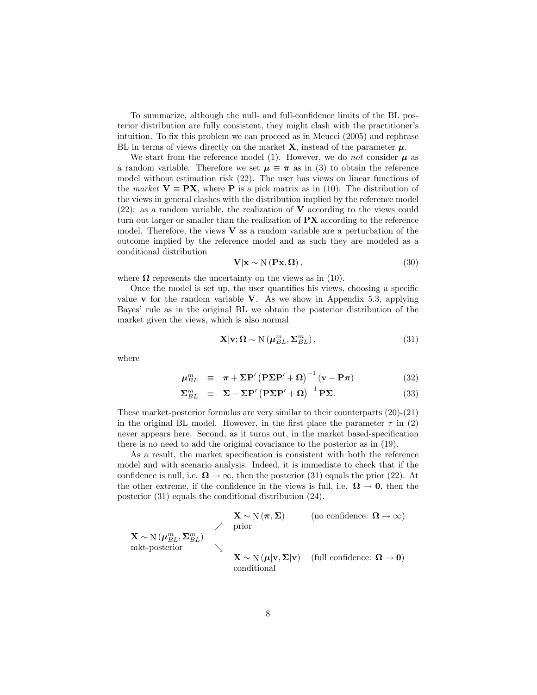To summarize, although the null- and full-confidence limits of the BL posterior distribution are fully consistent, they might clash with the practitioner's intuition. To fix this problem we can proceed as in Meucci (2005) and rephrase BL in terms of views directly on the market  $X$ , instead of the parameter  $\mu$ .

We start from the reference model (1). However, we do not consider  $\mu$  as a random variable. Therefore we set  $\mu \equiv \pi$  as in (3) to obtain the reference model without estimation risk (22). The user has views on linear functions of the market  $V \equiv PX$ , where P is a pick matrix as in (10). The distribution of the views in general clashes with the distribution implied by the reference model  $(22)$ : as a random variable, the realization of **V** according to the views could turn out larger or smaller than the realization of PX according to the reference model. Therefore, the views  $V$  as a random variable are a perturbation of the outcome implied by the reference model and as such they are modeled as a conditional distribution

$$
\mathbf{V}|\mathbf{x} \sim \mathbf{N}(\mathbf{P}\mathbf{x}, \mathbf{\Omega}),\tag{30}
$$

where  $\Omega$  represents the uncertainty on the views as in (10).

Once the model is set up, the user quantifies his views, choosing a specific value  $\bf{v}$  for the random variable  $\bf{V}$ . As we show in Appendix 5.3, applying Bayes' rule as in the original BL we obtain the posterior distribution of the market given the views, which is also normal

$$
\mathbf{X}|\mathbf{v};\mathbf{\Omega}\sim\mathrm{N}\left(\boldsymbol{\mu}_{BL}^{m},\boldsymbol{\Sigma}_{BL}^{m}\right),\tag{31}
$$

where

$$
\mu_{BL}^{m} \equiv \pi + \Sigma \mathbf{P}' (\mathbf{P} \Sigma \mathbf{P}' + \Omega)^{-1} (\mathbf{v} - \mathbf{P} \pi)
$$
 (32)

$$
\Sigma_{BL}^{m} \equiv \Sigma - \Sigma P' (\mathbf{P} \Sigma P' + \Omega)^{-1} \mathbf{P} \Sigma.
$$
 (33)

These market-posterior formulas are very similar to their counterparts (20)-(21) in the original BL model. However, in the first place the parameter  $\tau$  in (2) never appears here. Second, as it turns out, in the market based-specification there is no need to add the original covariance to the posterior as in (19).

As a result, the market specification is consistent with both the reference model and with scenario analysis. Indeed, it is immediate to check that if the confidence is null, i.e.  $\Omega \to \infty$ , then the posterior (31) equals the prior (22). At the other extreme, if the confidence in the views is full, i.e.  $\Omega \to 0$ , then the posterior (31) equals the conditional distribution (24).

$$
\mathbf{X} \sim \mathcal{N}(\boldsymbol{\mu}_{BL}^m, \boldsymbol{\Sigma}_{BL}^m)
$$
\n
$$
\mathbf{X} \sim \mathcal{N}(\boldsymbol{\mu}_{BL}^m, \boldsymbol{\Sigma}_{BL}^m)
$$
\n
$$
\mathbf{X} \sim \mathcal{N}(\boldsymbol{\mu}_{NL}^m, \boldsymbol{\Sigma}_{BL}^m)
$$
\n
$$
\mathbf{X} \sim \mathcal{N}(\boldsymbol{\mu}_{NL}, \boldsymbol{\Sigma}_{|V})
$$
\n
$$
\mathbf{X} \sim \mathcal{N}(\boldsymbol{\mu}_{|V}, \boldsymbol{\Sigma}_{|V})
$$
\n(full confidence:  $\Omega \to 0$ ) conditional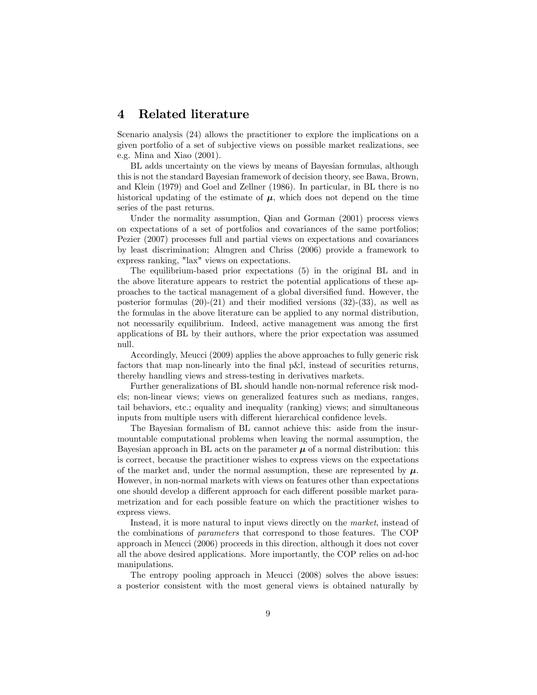### 4 Related literature

Scenario analysis (24) allows the practitioner to explore the implications on a given portfolio of a set of subjective views on possible market realizations, see e.g. Mina and Xiao (2001).

BL adds uncertainty on the views by means of Bayesian formulas, although this is not the standard Bayesian framework of decision theory, see Bawa, Brown, and Klein (1979) and Goel and Zellner (1986). In particular, in BL there is no historical updating of the estimate of  $\mu$ , which does not depend on the time series of the past returns.

Under the normality assumption, Qian and Gorman (2001) process views on expectations of a set of portfolios and covariances of the same portfolios; Pezier (2007) processes full and partial views on expectations and covariances by least discrimination; Almgren and Chriss (2006) provide a framework to express ranking, "lax" views on expectations.

The equilibrium-based prior expectations (5) in the original BL and in the above literature appears to restrict the potential applications of these approaches to the tactical management of a global diversified fund. However, the posterior formulas  $(20)-(21)$  and their modified versions  $(32)-(33)$ , as well as the formulas in the above literature can be applied to any normal distribution, not necessarily equilibrium. Indeed, active management was among the first applications of BL by their authors, where the prior expectation was assumed null.

Accordingly, Meucci (2009) applies the above approaches to fully generic risk factors that map non-linearly into the final p&l, instead of securities returns, thereby handling views and stress-testing in derivatives markets.

Further generalizations of BL should handle non-normal reference risk models; non-linear views; views on generalized features such as medians, ranges, tail behaviors, etc.; equality and inequality (ranking) views; and simultaneous inputs from multiple users with different hierarchical confidence levels.

The Bayesian formalism of BL cannot achieve this: aside from the insurmountable computational problems when leaving the normal assumption, the Bayesian approach in BL acts on the parameter  $\mu$  of a normal distribution: this is correct, because the practitioner wishes to express views on the expectations of the market and, under the normal assumption, these are represented by  $\mu$ . However, in non-normal markets with views on features other than expectations one should develop a different approach for each different possible market parametrization and for each possible feature on which the practitioner wishes to express views.

Instead, it is more natural to input views directly on the market, instead of the combinations of parameters that correspond to those features. The COP approach in Meucci (2006) proceeds in this direction, although it does not cover all the above desired applications. More importantly, the COP relies on ad-hoc manipulations.

The entropy pooling approach in Meucci (2008) solves the above issues: a posterior consistent with the most general views is obtained naturally by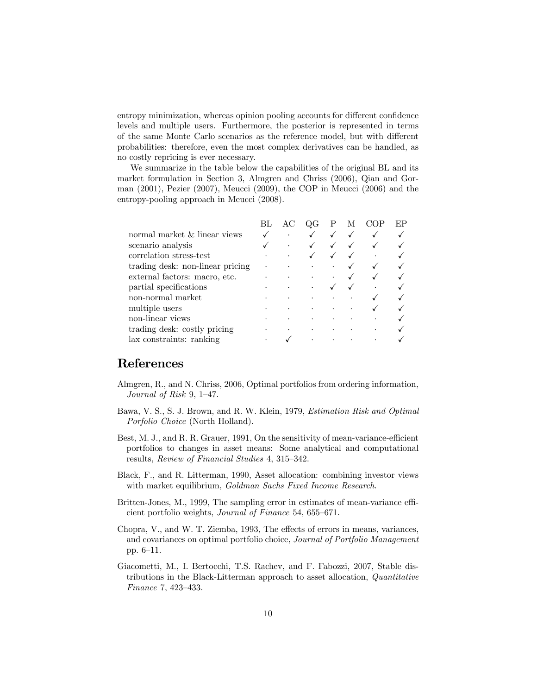entropy minimization, whereas opinion pooling accounts for different confidence levels and multiple users. Furthermore, the posterior is represented in terms of the same Monte Carlo scenarios as the reference model, but with different probabilities: therefore, even the most complex derivatives can be handled, as no costly repricing is ever necessary.

We summarize in the table below the capabilities of the original BL and its market formulation in Section 3, Almgren and Chriss (2006), Qian and Gorman (2001), Pezier (2007), Meucci (2009), the COP in Meucci (2006) and the entropy-pooling approach in Meucci (2008).

|                                  |                                                                                         | $\Gamma$             | P                    | М | ЕP |
|----------------------------------|-----------------------------------------------------------------------------------------|----------------------|----------------------|---|----|
| normal market & linear views     | $\bullet$                                                                               |                      |                      |   |    |
| scenario analysis                |                                                                                         |                      |                      |   |    |
| correlation stress-test          |                                                                                         |                      |                      |   |    |
| trading desk: non-linear pricing | $\mathcal{L}^{\text{max}}_{\text{max}}$ , where $\mathcal{L}^{\text{max}}_{\text{max}}$ | $\bullet$            | $\bullet$            |   |    |
| external factors: macro, etc.    |                                                                                         | $\ddot{\phantom{0}}$ | $\ddot{\phantom{0}}$ |   |    |
| partial specifications           |                                                                                         | $\bullet$            |                      |   |    |
| non-normal market                |                                                                                         | $\bullet$            |                      |   |    |
| multiple users                   |                                                                                         |                      |                      |   |    |
| non-linear views                 |                                                                                         |                      |                      |   |    |
| trading desk: costly pricing     | $\bullet$                                                                               | $\bullet$            | $\bullet$            |   |    |
| lax constraints: ranking         |                                                                                         | $\bullet$            | $\bullet$            |   |    |

# References

- Almgren, R., and N. Chriss, 2006, Optimal portfolios from ordering information, Journal of Risk 9, 1—47.
- Bawa, V. S., S. J. Brown, and R. W. Klein, 1979, Estimation Risk and Optimal Porfolio Choice (North Holland).
- Best, M. J., and R. R. Grauer, 1991, On the sensitivity of mean-variance-efficient portfolios to changes in asset means: Some analytical and computational results, Review of Financial Studies 4, 315—342.
- Black, F., and R. Litterman, 1990, Asset allocation: combining investor views with market equilibrium, Goldman Sachs Fixed Income Research.
- Britten-Jones, M., 1999, The sampling error in estimates of mean-variance efficient portfolio weights, Journal of Finance 54, 655—671.
- Chopra, V., and W. T. Ziemba, 1993, The effects of errors in means, variances, and covariances on optimal portfolio choice, Journal of Portfolio Management pp. 6—11.
- Giacometti, M., I. Bertocchi, T.S. Rachev, and F. Fabozzi, 2007, Stable distributions in the Black-Litterman approach to asset allocation, Quantitative Finance 7, 423—433.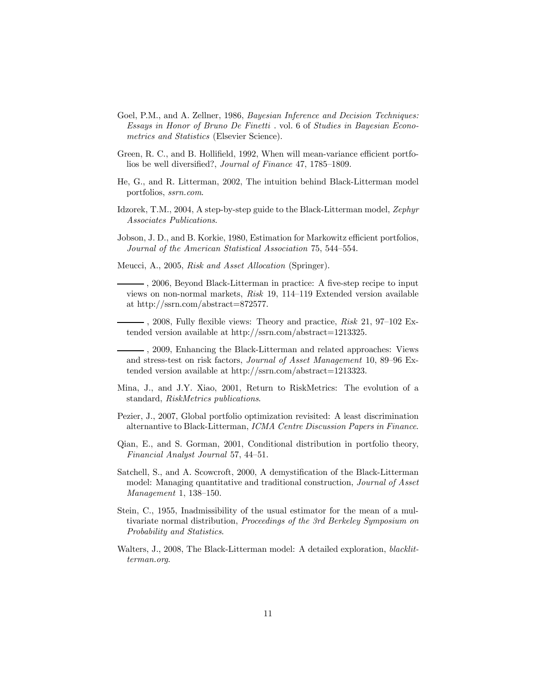- Goel, P.M., and A. Zellner, 1986, *Bayesian Inference and Decision Techniques:* Essays in Honor of Bruno De Finetti . vol. 6 of Studies in Bayesian Econometrics and Statistics (Elsevier Science).
- Green, R. C., and B. Hollifield, 1992, When will mean-variance efficient portfolios be well diversified?, Journal of Finance 47, 1785—1809.
- He, G., and R. Litterman, 2002, The intuition behind Black-Litterman model portfolios, ssrn.com.
- Idzorek, T.M., 2004, A step-by-step guide to the Black-Litterman model, Zephyr Associates Publications.
- Jobson, J. D., and B. Korkie, 1980, Estimation for Markowitz efficient portfolios, Journal of the American Statistical Association 75, 544—554.
- Meucci, A., 2005, Risk and Asset Allocation (Springer).

, 2006, Beyond Black-Litterman in practice: A five-step recipe to input views on non-normal markets, Risk 19, 114—119 Extended version available at http://ssrn.com/abstract=872577.

 $-$ , 2008, Fully flexible views: Theory and practice,  $Risk$  21, 97–102 Extended version available at http://ssrn.com/abstract=1213325.

- , 2009, Enhancing the Black-Litterman and related approaches: Views and stress-test on risk factors, Journal of Asset Management 10, 89—96 Extended version available at http://ssrn.com/abstract=1213323.
- Mina, J., and J.Y. Xiao, 2001, Return to RiskMetrics: The evolution of a standard, RiskMetrics publications.
- Pezier, J., 2007, Global portfolio optimization revisited: A least discrimination alternantive to Black-Litterman, ICMA Centre Discussion Papers in Finance.
- Qian, E., and S. Gorman, 2001, Conditional distribution in portfolio theory, Financial Analyst Journal 57, 44—51.
- Satchell, S., and A. Scowcroft, 2000, A demystification of the Black-Litterman model: Managing quantitative and traditional construction, Journal of Asset Management 1, 138—150.
- Stein, C., 1955, Inadmissibility of the usual estimator for the mean of a multivariate normal distribution, Proceedings of the 3rd Berkeley Symposium on Probability and Statistics.
- Walters, J., 2008, The Black-Litterman model: A detailed exploration, blacklitterman.org.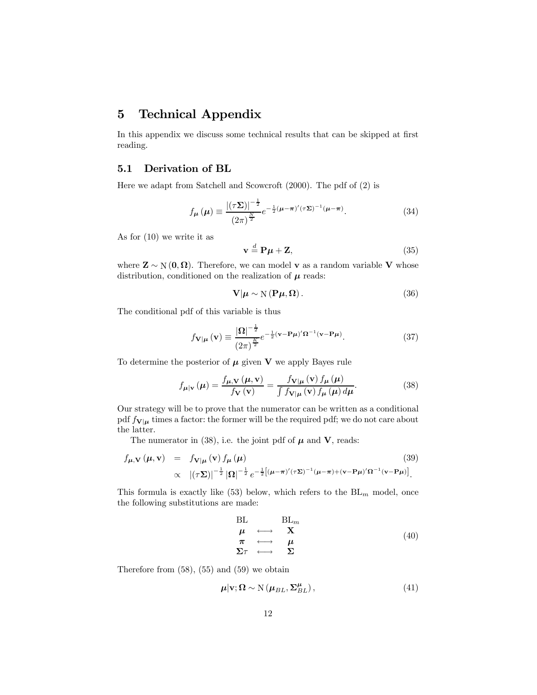## 5 Technical Appendix

In this appendix we discuss some technical results that can be skipped at first reading.

### 5.1 Derivation of BL

Here we adapt from Satchell and Scowcroft (2000). The pdf of (2) is

$$
f_{\mu}\left(\mu\right) \equiv \frac{\left|\left(\tau\Sigma\right)\right|^{-\frac{1}{2}}}{\left(2\pi\right)^{\frac{N}{2}}}e^{-\frac{1}{2}\left(\mu-\pi\right)'(\tau\Sigma)^{-1}\left(\mu-\pi\right)}.\tag{34}
$$

As for (10) we write it as

$$
\mathbf{v} \stackrel{d}{=} \mathbf{P}\boldsymbol{\mu} + \mathbf{Z},\tag{35}
$$

where  $\mathbf{Z} \sim N(0, \Omega)$ . Therefore, we can model v as a random variable V whose distribution, conditioned on the realization of  $\mu$  reads:

$$
\mathbf{V}|\boldsymbol{\mu} \sim \mathcal{N}(\mathbf{P}\boldsymbol{\mu}, \boldsymbol{\Omega}).
$$
 (36)

The conditional pdf of this variable is thus

$$
f_{\mathbf{V}|\boldsymbol{\mu}}\left(\mathbf{v}\right) \equiv \frac{\left|\mathbf{\Omega}\right|^{-\frac{1}{2}}}{\left(2\pi\right)^{\frac{K}{2}}} e^{-\frac{1}{2}\left(\mathbf{v}-\mathbf{P}\boldsymbol{\mu}\right)} \mathbf{\Omega}^{-1}\left(\mathbf{v}-\mathbf{P}\boldsymbol{\mu}\right)}.
$$
\n(37)

To determine the posterior of  $\mu$  given  $V$  we apply Bayes rule

$$
f_{\mu|\mathbf{v}}\left(\mu\right) = \frac{f_{\mu,\mathbf{V}}\left(\mu,\mathbf{v}\right)}{f_{\mathbf{V}}\left(\mathbf{v}\right)} = \frac{f_{\mathbf{V}|\mu}\left(\mathbf{v}\right)f_{\mu}\left(\mu\right)}{\int f_{\mathbf{V}|\mu}\left(\mathbf{v}\right)f_{\mu}\left(\mu\right)d\mu}.\tag{38}
$$

Our strategy will be to prove that the numerator can be written as a conditional pdf  $f_{\mathbf{V}|\boldsymbol{\mu}}$  times a factor: the former will be the required pdf; we do not care about the latter.

The numerator in (38), i.e. the joint pdf of  $\mu$  and **V**, reads:

$$
f_{\mu,\mathbf{V}}(\mu,\mathbf{v}) = f_{\mathbf{V}|\mu}(\mathbf{v}) f_{\mu}(\mu)
$$
\n
$$
\propto |(\tau \Sigma)|^{-\frac{1}{2}} |\Omega|^{-\frac{1}{2}} e^{-\frac{1}{2} [(\mu - \pi)'(\tau \Sigma)^{-1} (\mu - \pi) + (\mathbf{v} - \mathbf{P}\mu)'] \Omega^{-1} (\mathbf{v} - \mathbf{P}\mu)].
$$
\n(39)

This formula is exactly like (53) below, which refers to the  $BL_m$  model, once the following substitutions are made:

$$
\begin{array}{ccc}\n\text{BL} & \text{BL}_m \\
\mu & \longleftrightarrow & \mathbf{X} \\
\pi & \longleftrightarrow & \mu \\
\text{E}\tau & \longleftrightarrow & \Sigma\n\end{array} \tag{40}
$$

Therefore from  $(58)$ ,  $(55)$  and  $(59)$  we obtain

$$
\mu|\mathbf{v};\Omega \sim \mathcal{N}(\mu_{BL}, \Sigma_{BL}^{\mu}), \qquad (41)
$$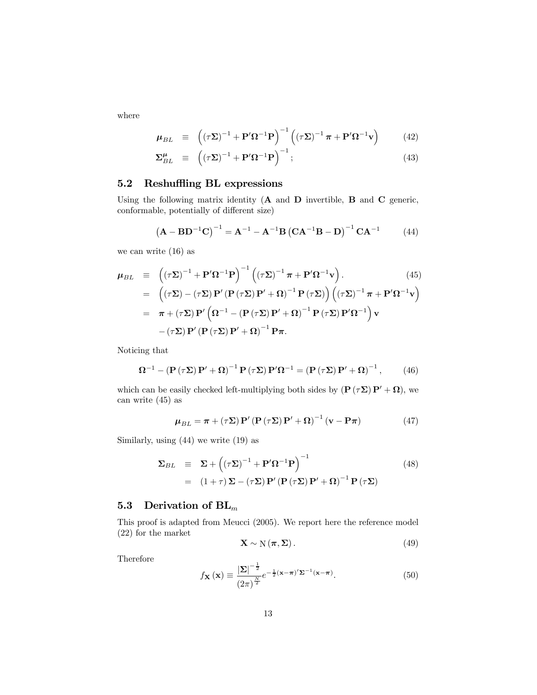where

$$
\mu_{BL} \equiv \left( (\tau \Sigma)^{-1} + \mathbf{P}' \Omega^{-1} \mathbf{P} \right)^{-1} \left( (\tau \Sigma)^{-1} \pi + \mathbf{P}' \Omega^{-1} \mathbf{v} \right) \tag{42}
$$

$$
\Sigma_{BL}^{\mu} \equiv \left( (\tau \Sigma)^{-1} + \mathbf{P}' \Omega^{-1} \mathbf{P} \right)^{-1}; \tag{43}
$$

### 5.2 Reshuffling BL expressions

Using the following matrix identity  $(A \text{ and } D \text{ invertible}, B \text{ and } C \text{ generic},$ conformable, potentially of different size)

$$
(A - BD-1C)-1 = A-1 – A-1B (CA-1B – D)-1 CA-1
$$
 (44)

we can write (16) as

$$
\mu_{BL} \equiv \left( (\tau \Sigma)^{-1} + \mathbf{P}' \Omega^{-1} \mathbf{P} \right)^{-1} \left( (\tau \Sigma)^{-1} \pi + \mathbf{P}' \Omega^{-1} \mathbf{v} \right). \tag{45}
$$
\n
$$
= \left( (\tau \Sigma) - (\tau \Sigma) \mathbf{P}' \left( \mathbf{P} (\tau \Sigma) \mathbf{P}' + \Omega \right)^{-1} \mathbf{P} (\tau \Sigma) \right) \left( (\tau \Sigma)^{-1} \pi + \mathbf{P}' \Omega^{-1} \mathbf{v} \right)
$$
\n
$$
= \pi + (\tau \Sigma) \mathbf{P}' \left( \Omega^{-1} - (\mathbf{P} (\tau \Sigma) \mathbf{P}' + \Omega)^{-1} \mathbf{P} (\tau \Sigma) \mathbf{P}' \Omega^{-1} \right) \mathbf{v}
$$
\n
$$
- (\tau \Sigma) \mathbf{P}' (\mathbf{P} (\tau \Sigma) \mathbf{P}' + \Omega)^{-1} \mathbf{P} \pi.
$$

Noticing that

$$
\Omega^{-1} - \left(\mathbf{P}\left(\tau\Sigma\right)\mathbf{P}' + \Omega\right)^{-1}\mathbf{P}\left(\tau\Sigma\right)\mathbf{P}'\Omega^{-1} = \left(\mathbf{P}\left(\tau\Sigma\right)\mathbf{P}' + \Omega\right)^{-1},\tag{46}
$$

which can be easily checked left-multiplying both sides by  $(\mathbf{P}(\tau\Sigma)\mathbf{P}' + \Omega)$ , we can write (45) as

$$
\mu_{BL} = \pi + (\tau \Sigma) \mathbf{P}' (\mathbf{P} (\tau \Sigma) \mathbf{P}' + \mathbf{\Omega})^{-1} (\mathbf{v} - \mathbf{P} \pi)
$$
(47)

Similarly, using (44) we write (19) as

$$
\Sigma_{BL} \equiv \Sigma + \left( (\tau \Sigma)^{-1} + \mathbf{P}' \Omega^{-1} \mathbf{P} \right)^{-1}
$$
\n
$$
= (1 + \tau) \Sigma - (\tau \Sigma) \mathbf{P}' (\mathbf{P} (\tau \Sigma) \mathbf{P}' + \Omega)^{-1} \mathbf{P} (\tau \Sigma)
$$
\n(48)

### 5.3 Derivation of  $BL_m$

This proof is adapted from Meucci (2005). We report here the reference model (22) for the market

$$
\mathbf{X} \sim \mathcal{N}(\boldsymbol{\pi}, \boldsymbol{\Sigma}). \tag{49}
$$

Therefore

$$
f_{\mathbf{X}}\left(\mathbf{x}\right) \equiv \frac{\left|\mathbf{\Sigma}\right|^{-\frac{1}{2}}}{\left(2\pi\right)^{\frac{N}{2}}} e^{-\frac{1}{2}\left(\mathbf{x} - \boldsymbol{\pi}\right)^{\prime} \mathbf{\Sigma}^{-1}\left(\mathbf{x} - \boldsymbol{\pi}\right)}.
$$
\n(50)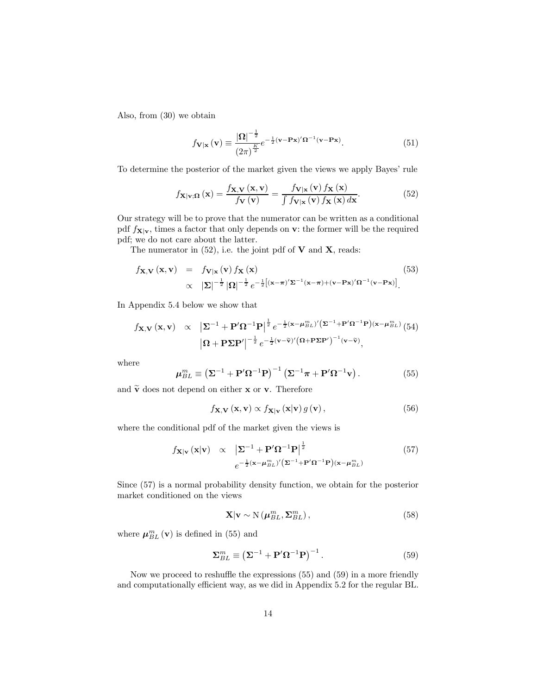Also, from (30) we obtain

$$
f_{\mathbf{V}|\mathbf{x}}\left(\mathbf{v}\right) \equiv \frac{|\mathbf{\Omega}|^{-\frac{1}{2}}}{\left(2\pi\right)^{\frac{K}{2}}} e^{-\frac{1}{2}\left(\mathbf{v} - \mathbf{P}\mathbf{x}\right)'\mathbf{\Omega}^{-1}\left(\mathbf{v} - \mathbf{P}\mathbf{x}\right)}.\tag{51}
$$

To determine the posterior of the market given the views we apply Bayes' rule

$$
f_{\mathbf{X}|\mathbf{v};\mathbf{\Omega}}\left(\mathbf{x}\right) = \frac{f_{\mathbf{X},\mathbf{V}}\left(\mathbf{x},\mathbf{v}\right)}{f_{\mathbf{V}}\left(\mathbf{v}\right)} = \frac{f_{\mathbf{V}|\mathbf{x}}\left(\mathbf{v}\right)f_{\mathbf{X}}\left(\mathbf{x}\right)}{\int f_{\mathbf{V}|\mathbf{x}}\left(\mathbf{v}\right)f_{\mathbf{X}}\left(\mathbf{x}\right)d\mathbf{x}}.\tag{52}
$$

Our strategy will be to prove that the numerator can be written as a conditional pdf  $f_{\mathbf{X}|\mathbf{v}}$ , times a factor that only depends on **v**: the former will be the required pdf; we do not care about the latter.

The numerator in  $(52)$ , i.e. the joint pdf of **V** and **X**, reads:

$$
f_{\mathbf{X},\mathbf{V}}(\mathbf{x},\mathbf{v}) = f_{\mathbf{V}|\mathbf{x}}(\mathbf{v}) f_{\mathbf{X}}(\mathbf{x})
$$
(53)  
 
$$
\propto |\mathbf{\Sigma}|^{-\frac{1}{2}} |\mathbf{\Omega}|^{-\frac{1}{2}} e^{-\frac{1}{2} [(\mathbf{x}-\boldsymbol{\pi})'\mathbf{\Sigma}^{-1}(\mathbf{x}-\boldsymbol{\pi})+(\mathbf{v}-\mathbf{P}\mathbf{x})'\mathbf{\Omega}^{-1}(\mathbf{v}-\mathbf{P}\mathbf{x})]}.
$$

In Appendix 5.4 below we show that

$$
f_{\mathbf{X},\mathbf{V}}(\mathbf{x},\mathbf{v}) \propto |\Sigma^{-1} + \mathbf{P}'\Omega^{-1}\mathbf{P}|^{\frac{1}{2}} e^{-\frac{1}{2}(\mathbf{x} - \boldsymbol{\mu}_{BL}^{m})'} (\Sigma^{-1} + \mathbf{P}'\Omega^{-1}\mathbf{P})(\mathbf{x} - \boldsymbol{\mu}_{BL}^{m})
$$
\n
$$
|\Omega + \mathbf{P}\Sigma\mathbf{P}'|^{-\frac{1}{2}} e^{-\frac{1}{2}(\mathbf{v} - \widetilde{\mathbf{v}})'} (\Omega + \mathbf{P}\Sigma\mathbf{P}')^{-1} (\mathbf{v} - \widetilde{\mathbf{v}}),
$$

where

$$
\mu_{BL}^{m} \equiv \left(\Sigma^{-1} + \mathbf{P}'\Omega^{-1}\mathbf{P}\right)^{-1} \left(\Sigma^{-1}\pi + \mathbf{P}'\Omega^{-1}\mathbf{v}\right).
$$
 (55)

and  $\tilde{\mathbf{v}}$  does not depend on either **x** or **v**. Therefore

$$
f_{\mathbf{X},\mathbf{V}}(\mathbf{x},\mathbf{v}) \propto f_{\mathbf{X}|\mathbf{v}}(\mathbf{x}|\mathbf{v}) g(\mathbf{v}),
$$
\n(56)

where the conditional pdf of the market given the views is

$$
f_{\mathbf{X}|\mathbf{v}}(\mathbf{x}|\mathbf{v}) \propto \left| \mathbf{\Sigma}^{-1} + \mathbf{P}' \mathbf{\Omega}^{-1} \mathbf{P} \right|^{\frac{1}{2}} \tag{57}
$$

$$
e^{-\frac{1}{2}(\mathbf{x} - \boldsymbol{\mu}_{BL}^{m})'} (\mathbf{\Sigma}^{-1} + \mathbf{P}' \mathbf{\Omega}^{-1} \mathbf{P})(\mathbf{x} - \boldsymbol{\mu}_{BL}^{m})
$$

Since (57) is a normal probability density function, we obtain for the posterior market conditioned on the views

$$
\mathbf{X}|\mathbf{v} \sim \mathcal{N}\left(\boldsymbol{\mu}_{BL}^{m}, \boldsymbol{\Sigma}_{BL}^{m}\right),\tag{58}
$$

where  $\mu_{BL}^{m}(\mathbf{v})$  is defined in (55) and

$$
\Sigma_{BL}^{m} \equiv \left(\Sigma^{-1} + \mathbf{P}'\Omega^{-1}\mathbf{P}\right)^{-1}.\tag{59}
$$

Now we proceed to reshuffle the expressions (55) and (59) in a more friendly and computationally efficient way, as we did in Appendix 5.2 for the regular BL.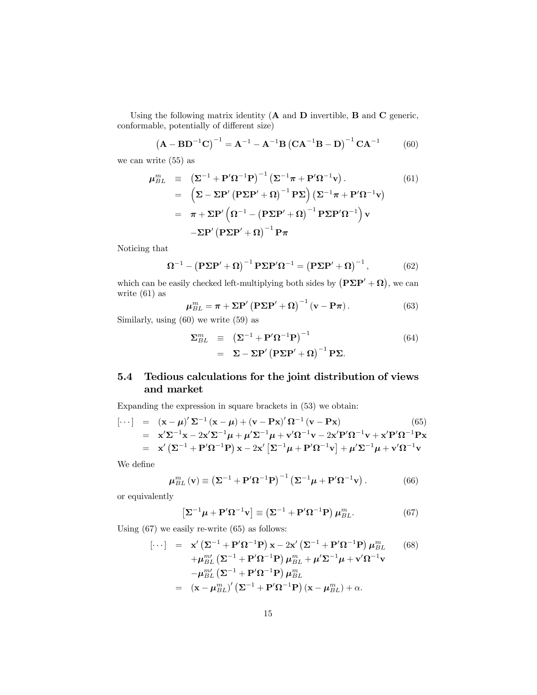Using the following matrix identity  $(A \text{ and } D \text{ invertible}, B \text{ and } C \text{ generic},$ conformable, potentially of different size)

$$
(A - BD-1C)-1 = A-1 – A-1B (CA-1B – D)-1 CA-1
$$
 (60)

we can write (55) as

$$
\mu_{BL}^{m} = \left(\Sigma^{-1} + \mathbf{P}'\Omega^{-1}\mathbf{P}\right)^{-1}\left(\Sigma^{-1}\pi + \mathbf{P}'\Omega^{-1}\mathbf{v}\right).
$$
\n(61)  
\n
$$
= \left(\Sigma - \Sigma\mathbf{P}'\left(\mathbf{P}\Sigma\mathbf{P}' + \Omega\right)^{-1}\mathbf{P}\Sigma\right)\left(\Sigma^{-1}\pi + \mathbf{P}'\Omega^{-1}\mathbf{v}\right)
$$
\n
$$
= \pi + \Sigma\mathbf{P}'\left(\Omega^{-1} - \left(\mathbf{P}\Sigma\mathbf{P}' + \Omega\right)^{-1}\mathbf{P}\Sigma\mathbf{P}'\Omega^{-1}\right)\mathbf{v}
$$
\n
$$
- \Sigma\mathbf{P}'\left(\mathbf{P}\Sigma\mathbf{P}' + \Omega\right)^{-1}\mathbf{P}\pi
$$

Noticing that

$$
\Omega^{-1} - (\mathbf{P\Sigma P'} + \Omega)^{-1} \mathbf{P\Sigma P'} \Omega^{-1} = (\mathbf{P\Sigma P'} + \Omega)^{-1}, \tag{62}
$$

which can be easily checked left-multiplying both sides by  $(P\Sigma P' + \Omega)$ , we can write (61) as

$$
\mu_{BL}^{m} = \pi + \Sigma \mathbf{P}' (\mathbf{P} \Sigma \mathbf{P}' + \Omega)^{-1} (\mathbf{v} - \mathbf{P} \pi).
$$
 (63)

Similarly, using (60) we write (59) as

$$
\Sigma_{BL}^{m} \equiv (\Sigma^{-1} + P'\Omega^{-1}P)^{-1}
$$
  
=  $\Sigma - \Sigma P' (P\Sigma P' + \Omega)^{-1} P\Sigma.$  (64)

### 5.4 Tedious calculations for the joint distribution of views and market

Expanding the expression in square brackets in (53) we obtain:

$$
\begin{array}{rcl}\n[\cdots] & = & (\mathbf{x} - \boldsymbol{\mu})' \boldsymbol{\Sigma}^{-1} (\mathbf{x} - \boldsymbol{\mu}) + (\mathbf{v} - \mathbf{P}\mathbf{x})' \boldsymbol{\Omega}^{-1} (\mathbf{v} - \mathbf{P}\mathbf{x}) \tag{65} \\
& = & \mathbf{x}' \boldsymbol{\Sigma}^{-1} \mathbf{x} - 2\mathbf{x}' \boldsymbol{\Sigma}^{-1} \boldsymbol{\mu} + \boldsymbol{\mu}' \boldsymbol{\Sigma}^{-1} \boldsymbol{\mu} + \mathbf{v}' \boldsymbol{\Omega}^{-1} \mathbf{v} - 2\mathbf{x}' \mathbf{P}' \boldsymbol{\Omega}^{-1} \mathbf{v} + \mathbf{x}' \mathbf{P}' \boldsymbol{\Omega}^{-1} \mathbf{P} \mathbf{x} \\
& = & \mathbf{x}' (\boldsymbol{\Sigma}^{-1} + \mathbf{P}' \boldsymbol{\Omega}^{-1} \mathbf{P}) \mathbf{x} - 2\mathbf{x}' [\boldsymbol{\Sigma}^{-1} \boldsymbol{\mu} + \mathbf{P}' \boldsymbol{\Omega}^{-1} \mathbf{v}] + \boldsymbol{\mu}' \boldsymbol{\Sigma}^{-1} \boldsymbol{\mu} + \mathbf{v}' \boldsymbol{\Omega}^{-1} \mathbf{v}\n\end{array}
$$

We define

$$
\mu_{BL}^{m}(\mathbf{v}) \equiv \left(\mathbf{\Sigma}^{-1} + \mathbf{P}'\mathbf{\Omega}^{-1}\mathbf{P}\right)^{-1} \left(\mathbf{\Sigma}^{-1}\boldsymbol{\mu} + \mathbf{P}'\mathbf{\Omega}^{-1}\mathbf{v}\right).
$$
 (66)

or equivalently

$$
\left[\Sigma^{-1}\mu + \mathbf{P}'\Omega^{-1}\mathbf{v}\right] \equiv \left(\Sigma^{-1} + \mathbf{P}'\Omega^{-1}\mathbf{P}\right)\mu_{BL}^m.
$$
 (67)

Using (67) we easily re-write (65) as follows:

$$
\begin{array}{rcl}\n[\cdots] &=& \mathbf{x}' \left( \mathbf{\Sigma}^{-1} + \mathbf{P}' \mathbf{\Omega}^{-1} \mathbf{P} \right) \mathbf{x} - 2\mathbf{x}' \left( \mathbf{\Sigma}^{-1} + \mathbf{P}' \mathbf{\Omega}^{-1} \mathbf{P} \right) \mu_{BL}^m \qquad (68) \\
& &+ \mu_{BL}^m \left( \mathbf{\Sigma}^{-1} + \mathbf{P}' \mathbf{\Omega}^{-1} \mathbf{P} \right) \mu_{BL}^m + \mu' \mathbf{\Sigma}^{-1} \mu + \mathbf{v}' \mathbf{\Omega}^{-1} \mathbf{v} \\
&- \mu_{BL}^m \left( \mathbf{\Sigma}^{-1} + \mathbf{P}' \mathbf{\Omega}^{-1} \mathbf{P} \right) \mu_{BL}^m \\
&=& \left( \mathbf{x} - \mu_{BL}^m \right)' \left( \mathbf{\Sigma}^{-1} + \mathbf{P}' \mathbf{\Omega}^{-1} \mathbf{P} \right) \left( \mathbf{x} - \mu_{BL}^m \right) + \alpha.\n\end{array}
$$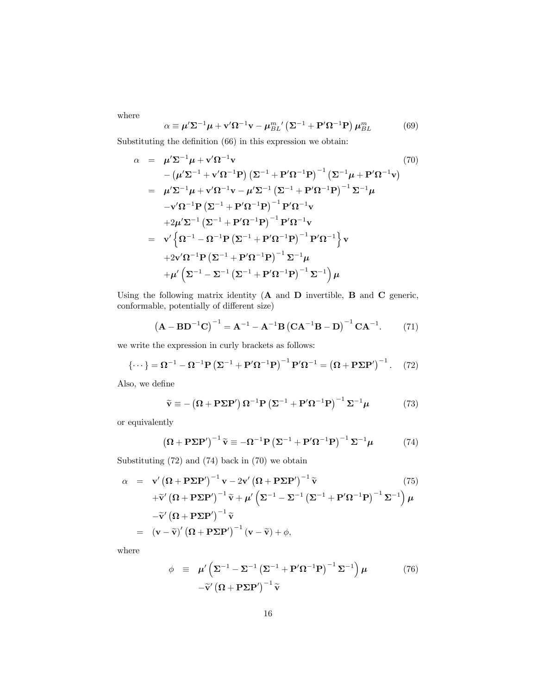where

$$
\alpha \equiv \mu' \Sigma^{-1} \mu + \mathbf{v}' \Omega^{-1} \mathbf{v} - \mu_{BL}^{m'} \left( \Sigma^{-1} + \mathbf{P}' \Omega^{-1} \mathbf{P} \right) \mu_{BL}^{m} \tag{69}
$$

Substituting the definition (66) in this expression we obtain:

$$
\alpha = \mu' \Sigma^{-1} \mu + \mathbf{v}' \Omega^{-1} \mathbf{v}
$$
\n
$$
- (\mu' \Sigma^{-1} + \mathbf{v}' \Omega^{-1} \mathbf{P}) (\Sigma^{-1} + \mathbf{P}' \Omega^{-1} \mathbf{P})^{-1} (\Sigma^{-1} \mu + \mathbf{P}' \Omega^{-1} \mathbf{v})
$$
\n
$$
= \mu' \Sigma^{-1} \mu + \mathbf{v}' \Omega^{-1} \mathbf{v} - \mu' \Sigma^{-1} (\Sigma^{-1} + \mathbf{P}' \Omega^{-1} \mathbf{P})^{-1} \Sigma^{-1} \mu
$$
\n
$$
- \mathbf{v}' \Omega^{-1} \mathbf{P} (\Sigma^{-1} + \mathbf{P}' \Omega^{-1} \mathbf{P})^{-1} \mathbf{P}' \Omega^{-1} \mathbf{v}
$$
\n
$$
+ 2\mu' \Sigma^{-1} (\Sigma^{-1} + \mathbf{P}' \Omega^{-1} \mathbf{P})^{-1} \mathbf{P}' \Omega^{-1} \mathbf{v}
$$
\n
$$
= \mathbf{v}' \left\{ \Omega^{-1} - \Omega^{-1} \mathbf{P} (\Sigma^{-1} + \mathbf{P}' \Omega^{-1} \mathbf{P})^{-1} \mathbf{P}' \Omega^{-1} \right\} \mathbf{v}
$$
\n
$$
+ 2\mathbf{v}' \Omega^{-1} \mathbf{P} (\Sigma^{-1} + \mathbf{P}' \Omega^{-1} \mathbf{P})^{-1} \Sigma^{-1} \mu
$$
\n
$$
+ \mu' (\Sigma^{-1} - \Sigma^{-1} (\Sigma^{-1} + \mathbf{P}' \Omega^{-1} \mathbf{P})^{-1} \Sigma^{-1}) \mu
$$

Using the following matrix identity (A and D invertible, B and C generic, conformable, potentially of different size)

$$
(A - BD-1C)-1 = A-1 – A-1B (CA-1B – D)-1 CA-1. (71)
$$

we write the expression in curly brackets as follows:

$$
\{\cdots\} = \mathbf{\Omega}^{-1} - \mathbf{\Omega}^{-1} \mathbf{P} \left( \mathbf{\Sigma}^{-1} + \mathbf{P}' \mathbf{\Omega}^{-1} \mathbf{P} \right)^{-1} \mathbf{P}' \mathbf{\Omega}^{-1} = \left( \mathbf{\Omega} + \mathbf{P} \mathbf{\Sigma} \mathbf{P}' \right)^{-1} . \tag{72}
$$

Also, we define

$$
\widetilde{\mathbf{v}} \equiv -(\mathbf{\Omega} + \mathbf{P} \Sigma \mathbf{P}') \mathbf{\Omega}^{-1} \mathbf{P} (\Sigma^{-1} + \mathbf{P}' \mathbf{\Omega}^{-1} \mathbf{P})^{-1} \Sigma^{-1} \mu \tag{73}
$$

or equivalently

$$
(\mathbf{\Omega} + \mathbf{P} \Sigma \mathbf{P}')^{-1} \widetilde{\mathbf{v}} \equiv -\mathbf{\Omega}^{-1} \mathbf{P} (\Sigma^{-1} + \mathbf{P}' \mathbf{\Omega}^{-1} \mathbf{P})^{-1} \Sigma^{-1} \mu \tag{74}
$$

Substituting (72) and (74) back in (70) we obtain

$$
\alpha = \mathbf{v}' (\boldsymbol{\Omega} + \mathbf{P} \Sigma \mathbf{P}')^{-1} \mathbf{v} - 2\mathbf{v}' (\boldsymbol{\Omega} + \mathbf{P} \Sigma \mathbf{P}')^{-1} \widetilde{\mathbf{v}}
$$
(75)  
+  $\widetilde{\mathbf{v}}' (\boldsymbol{\Omega} + \mathbf{P} \Sigma \mathbf{P}')^{-1} \widetilde{\mathbf{v}} + \mu' (\Sigma^{-1} - \Sigma^{-1} (\Sigma^{-1} + \mathbf{P}' \boldsymbol{\Omega}^{-1} \mathbf{P})^{-1} \Sigma^{-1}) \mu$   
-  $\widetilde{\mathbf{v}}' (\boldsymbol{\Omega} + \mathbf{P} \Sigma \mathbf{P}')^{-1} \widetilde{\mathbf{v}}$   
=  $(\mathbf{v} - \widetilde{\mathbf{v}})' (\boldsymbol{\Omega} + \mathbf{P} \Sigma \mathbf{P}')^{-1} (\mathbf{v} - \widetilde{\mathbf{v}}) + \phi,$ 

where

$$
\phi \equiv \mu' \left( \Sigma^{-1} - \Sigma^{-1} \left( \Sigma^{-1} + \mathbf{P}' \Omega^{-1} \mathbf{P} \right)^{-1} \Sigma^{-1} \right) \mu \tag{76}
$$

$$
- \tilde{\mathbf{v}}' \left( \Omega + \mathbf{P} \Sigma \mathbf{P}' \right)^{-1} \tilde{\mathbf{v}}
$$